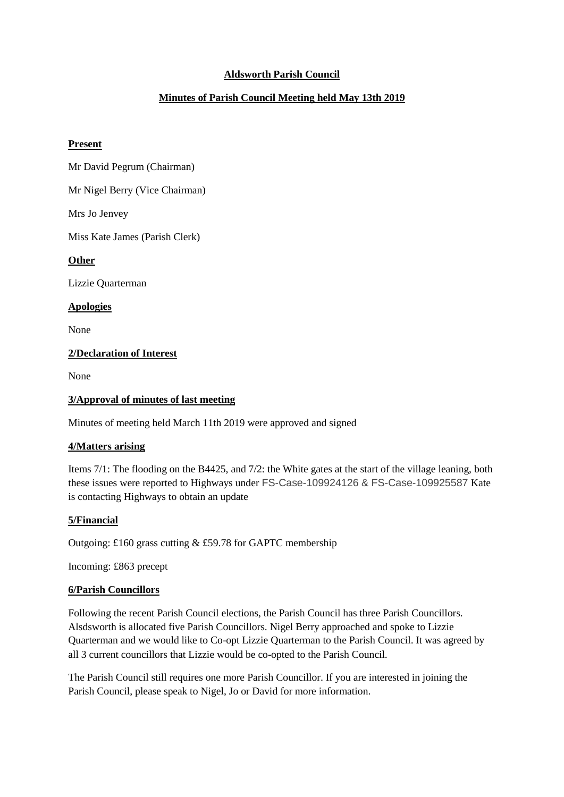# **Aldsworth Parish Council**

# **Minutes of Parish Council Meeting held May 13th 2019**

### **Present**

Mr David Pegrum (Chairman)

Mr Nigel Berry (Vice Chairman)

Mrs Jo Jenvey

Miss Kate James (Parish Clerk)

### **Other**

Lizzie Quarterman

### **Apologies**

None

## **2/Declaration of Interest**

None

### **3/Approval of minutes of last meeting**

Minutes of meeting held March 11th 2019 were approved and signed

## **4/Matters arising**

Items 7/1: The flooding on the B4425, and 7/2: the White gates at the start of the village leaning, both these issues were reported to Highways under FS-Case-109924126 & FS-Case-109925587 Kate is contacting Highways to obtain an update

#### **5/Financial**

Outgoing: £160 grass cutting & £59.78 for GAPTC membership

Incoming: £863 precept

#### **6/Parish Councillors**

Following the recent Parish Council elections, the Parish Council has three Parish Councillors. Alsdsworth is allocated five Parish Councillors. Nigel Berry approached and spoke to Lizzie Quarterman and we would like to Co-opt Lizzie Quarterman to the Parish Council. It was agreed by all 3 current councillors that Lizzie would be co-opted to the Parish Council.

The Parish Council still requires one more Parish Councillor. If you are interested in joining the Parish Council, please speak to Nigel, Jo or David for more information.